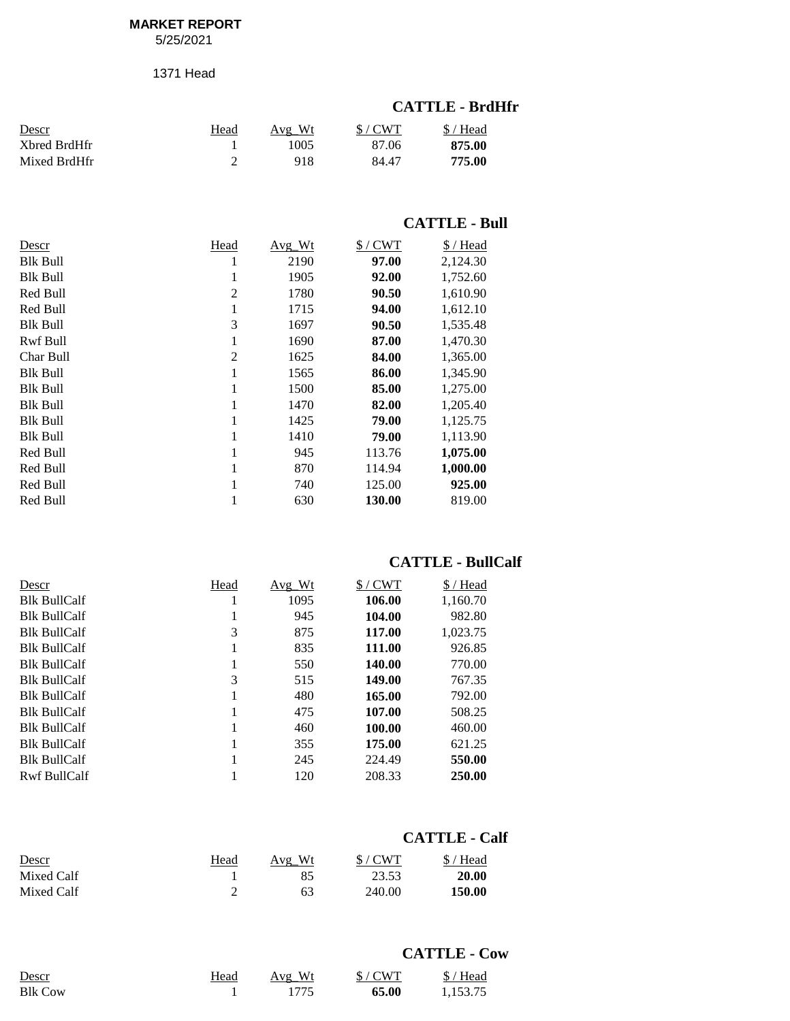#### **MARKET REPORT**

5/25/2021

1371 Head

#### **CATTLE - BrdHfr**

| Descr        | Head | Avg Wt | $$/$ CWT | $$/$ Head |
|--------------|------|--------|----------|-----------|
| Xbred BrdHfr |      | 1005   | 87.06    | 875.00    |
| Mixed BrdHfr |      | 918    | 84.47    | 775.00    |

#### **CATTLE - Bull**

| Descr           | Head           | Avg Wt | $$/$ CWT | \$/Head  |
|-----------------|----------------|--------|----------|----------|
| <b>Blk Bull</b> | ı              | 2190   | 97.00    | 2,124.30 |
| <b>Blk Bull</b> | 1              | 1905   | 92.00    | 1,752.60 |
| Red Bull        | $\overline{2}$ | 1780   | 90.50    | 1,610.90 |
| Red Bull        | 1              | 1715   | 94.00    | 1,612.10 |
| <b>Blk Bull</b> | 3              | 1697   | 90.50    | 1,535.48 |
| Rwf Bull        | 1              | 1690   | 87.00    | 1,470.30 |
| Char Bull       | $\overline{c}$ | 1625   | 84.00    | 1,365.00 |
| <b>Blk Bull</b> | 1              | 1565   | 86.00    | 1,345.90 |
| <b>Blk Bull</b> | 1              | 1500   | 85.00    | 1,275.00 |
| <b>Blk Bull</b> |                | 1470   | 82.00    | 1,205.40 |
| <b>Blk Bull</b> | 1              | 1425   | 79.00    | 1,125.75 |
| <b>Blk Bull</b> | 1              | 1410   | 79.00    | 1,113.90 |
| Red Bull        | 1              | 945    | 113.76   | 1,075.00 |
| Red Bull        | 1              | 870    | 114.94   | 1,000.00 |
| Red Bull        |                | 740    | 125.00   | 925.00   |
| Red Bull        |                | 630    | 130.00   | 819.00   |

# **CATTLE - BullCalf**

| Descr               | Head | $Avg_Wt$ | $$/$ CWT | \$/Head  |
|---------------------|------|----------|----------|----------|
| <b>Blk BullCalf</b> |      | 1095     | 106.00   | 1,160.70 |
| <b>Blk BullCalf</b> |      | 945      | 104.00   | 982.80   |
| <b>Blk BullCalf</b> | 3    | 875      | 117.00   | 1.023.75 |
| <b>Blk BullCalf</b> |      | 835      | 111.00   | 926.85   |
| <b>Blk BullCalf</b> | 1    | 550      | 140.00   | 770.00   |
| <b>Blk BullCalf</b> | 3    | 515      | 149.00   | 767.35   |
| <b>Blk BullCalf</b> |      | 480      | 165.00   | 792.00   |
| <b>Blk BullCalf</b> |      | 475      | 107.00   | 508.25   |
| <b>Blk BullCalf</b> |      | 460      | 100.00   | 460.00   |
| <b>Blk BullCalf</b> | 1    | 355      | 175.00   | 621.25   |
| <b>Blk BullCalf</b> |      | 245      | 224.49   | 550.00   |
| Rwf BullCalf        |      | 120      | 208.33   | 250.00   |

#### **CATTLE - Calf**

| Descr      | Head | Avg Wt | $$/$ CWT | \$/Head |
|------------|------|--------|----------|---------|
| Mixed Calf |      |        | 23.53    | 20.00   |
| Mixed Calf |      | 63     | 240.00   | 150.00  |

|                |      |        |       | <b>CATTLE - Cow</b> |
|----------------|------|--------|-------|---------------------|
| Descr          | Head | Avg Wt | S/CWT | \$/Head             |
| <b>Blk Cow</b> |      | 1775   | 65.00 | 1.153.75            |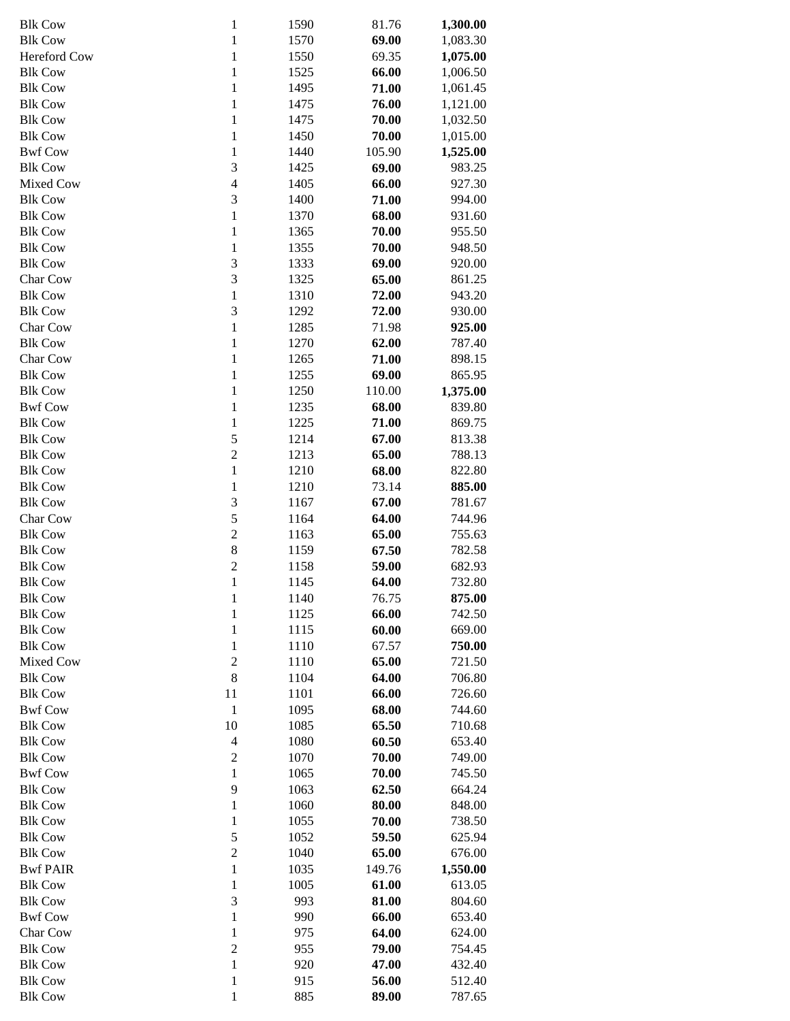| <b>Blk Cow</b>  | $\mathbf{1}$            | 1590 | 81.76  | 1,300.00 |
|-----------------|-------------------------|------|--------|----------|
| <b>Blk Cow</b>  | $\,1\,$                 | 1570 | 69.00  | 1,083.30 |
| Hereford Cow    | $\,1\,$                 | 1550 | 69.35  | 1,075.00 |
| <b>Blk Cow</b>  | $\,1\,$                 | 1525 | 66.00  | 1,006.50 |
| <b>Blk Cow</b>  | $\,1\,$                 | 1495 | 71.00  | 1,061.45 |
| <b>Blk Cow</b>  | $\,1\,$                 | 1475 | 76.00  | 1,121.00 |
| <b>Blk Cow</b>  | $\,1\,$                 | 1475 | 70.00  | 1,032.50 |
| <b>Blk Cow</b>  | $\,1\,$                 | 1450 | 70.00  | 1,015.00 |
| <b>Bwf Cow</b>  | $\,1\,$                 | 1440 | 105.90 | 1,525.00 |
| <b>Blk Cow</b>  | 3                       | 1425 | 69.00  | 983.25   |
| Mixed Cow       | $\overline{4}$          | 1405 | 66.00  | 927.30   |
| <b>Blk Cow</b>  | 3                       | 1400 | 71.00  | 994.00   |
| <b>Blk Cow</b>  | $\,1\,$                 | 1370 | 68.00  | 931.60   |
| <b>Blk Cow</b>  | $\,1\,$                 | 1365 | 70.00  | 955.50   |
| <b>Blk Cow</b>  | $\,1\,$                 | 1355 | 70.00  | 948.50   |
| <b>Blk Cow</b>  | 3                       | 1333 | 69.00  | 920.00   |
| Char Cow        | 3                       | 1325 | 65.00  | 861.25   |
| <b>Blk Cow</b>  | $\mathbbm{1}$           | 1310 | 72.00  | 943.20   |
| <b>Blk Cow</b>  | 3                       | 1292 | 72.00  | 930.00   |
| Char Cow        | $\,1\,$                 | 1285 | 71.98  | 925.00   |
| <b>Blk Cow</b>  | $\,1$                   | 1270 | 62.00  | 787.40   |
| Char Cow        | $\,1\,$                 | 1265 | 71.00  | 898.15   |
| <b>Blk Cow</b>  | $\,1\,$                 | 1255 | 69.00  | 865.95   |
| <b>Blk Cow</b>  | $\,1\,$                 | 1250 | 110.00 | 1,375.00 |
| <b>Bwf Cow</b>  | $\,1\,$                 | 1235 | 68.00  | 839.80   |
| <b>Blk Cow</b>  | $\,1\,$                 | 1225 | 71.00  | 869.75   |
| <b>Blk Cow</b>  | 5                       | 1214 | 67.00  | 813.38   |
| <b>Blk Cow</b>  | $\overline{c}$          | 1213 | 65.00  | 788.13   |
| <b>Blk Cow</b>  | $\,1\,$                 | 1210 | 68.00  | 822.80   |
| <b>Blk Cow</b>  | $\,1\,$                 | 1210 | 73.14  | 885.00   |
| <b>Blk Cow</b>  | 3                       | 1167 | 67.00  | 781.67   |
| Char Cow        | 5                       | 1164 | 64.00  | 744.96   |
| <b>Blk Cow</b>  | $\overline{c}$          | 1163 | 65.00  | 755.63   |
| <b>Blk Cow</b>  | 8                       | 1159 | 67.50  | 782.58   |
| <b>Blk Cow</b>  | $\overline{c}$          | 1158 | 59.00  | 682.93   |
| <b>Blk Cow</b>  | $\,1\,$                 | 1145 | 64.00  | 732.80   |
| <b>Blk Cow</b>  | $\mathbf{1}$            | 1140 | 76.75  | 875.00   |
| <b>Blk Cow</b>  | $\,1\,$                 | 1125 | 66.00  | 742.50   |
| <b>Blk Cow</b>  | $\,1\,$                 | 1115 | 60.00  | 669.00   |
| <b>Blk Cow</b>  | $\,1\,$                 | 1110 | 67.57  | 750.00   |
| Mixed Cow       | $\sqrt{2}$              | 1110 | 65.00  | 721.50   |
| <b>Blk Cow</b>  | 8                       | 1104 | 64.00  | 706.80   |
| <b>Blk Cow</b>  | 11                      | 1101 | 66.00  | 726.60   |
| <b>Bwf Cow</b>  | $\mathbf{1}$            | 1095 | 68.00  | 744.60   |
| <b>Blk Cow</b>  | 10                      | 1085 | 65.50  | 710.68   |
| <b>Blk Cow</b>  | $\overline{\mathbf{4}}$ | 1080 | 60.50  | 653.40   |
| <b>Blk Cow</b>  | $\sqrt{2}$              | 1070 | 70.00  | 749.00   |
| <b>Bwf Cow</b>  | $\,1\,$                 | 1065 | 70.00  | 745.50   |
| <b>Blk Cow</b>  | 9                       | 1063 | 62.50  | 664.24   |
| <b>Blk Cow</b>  | $\,1\,$                 | 1060 | 80.00  | 848.00   |
| <b>Blk Cow</b>  | $\,1\,$                 | 1055 | 70.00  | 738.50   |
| <b>Blk Cow</b>  | 5                       | 1052 | 59.50  | 625.94   |
| <b>Blk Cow</b>  | $\overline{2}$          | 1040 | 65.00  | 676.00   |
| <b>Bwf PAIR</b> | $\,1\,$                 | 1035 | 149.76 | 1,550.00 |
| <b>Blk Cow</b>  | $\,1\,$                 | 1005 | 61.00  | 613.05   |
| <b>Blk Cow</b>  | 3                       | 993  | 81.00  | 804.60   |
| <b>Bwf Cow</b>  | $\,1\,$                 | 990  | 66.00  | 653.40   |
| Char Cow        | $\,1\,$                 | 975  | 64.00  | 624.00   |
| <b>Blk Cow</b>  | $\overline{c}$          | 955  | 79.00  | 754.45   |
| <b>Blk Cow</b>  | $\,1\,$                 | 920  | 47.00  | 432.40   |
| <b>Blk Cow</b>  | $\,1\,$                 | 915  | 56.00  | 512.40   |
| <b>Blk Cow</b>  | $\mathbf{1}$            | 885  | 89.00  | 787.65   |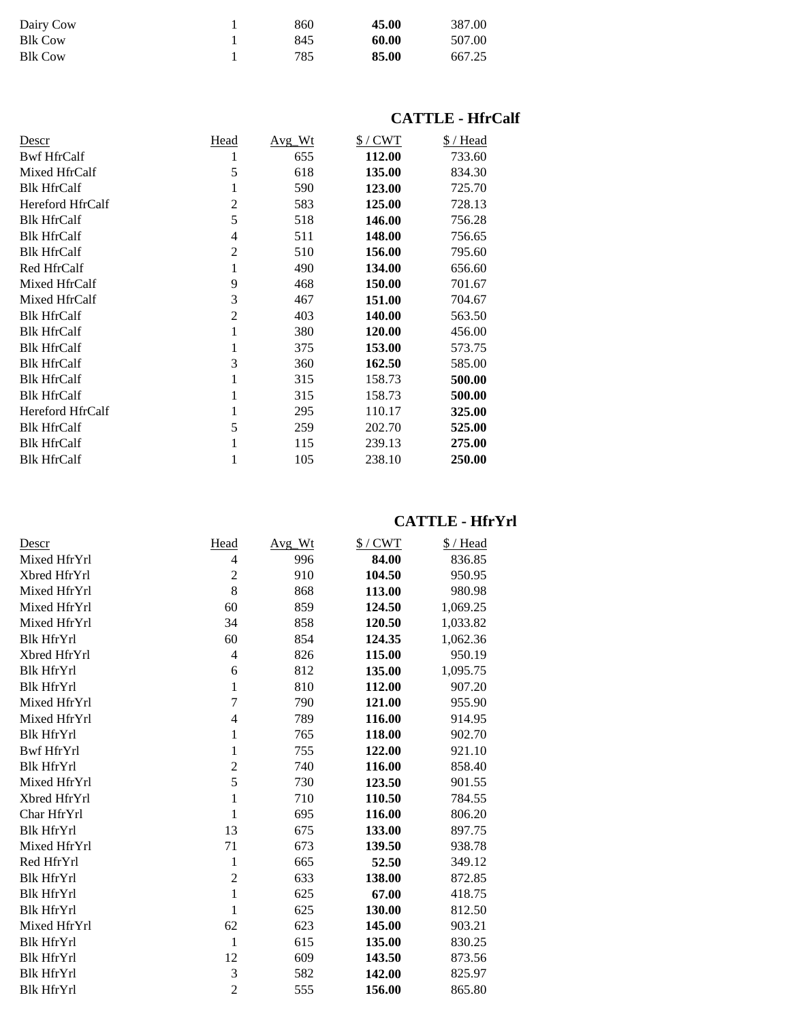| Dairy Cow      | 860 | 45.00 | 387.00 |
|----------------|-----|-------|--------|
| <b>Blk Cow</b> | 845 | 60.00 | 507.00 |
| <b>Blk Cow</b> | 785 | 85.00 | 667.25 |

# **CATTLE - HfrCalf**

| Descr              | Head           | Avg Wt | $$/$ CWT | \$/Head |
|--------------------|----------------|--------|----------|---------|
| <b>Bwf HfrCalf</b> | 1              | 655    | 112.00   | 733.60  |
| Mixed HfrCalf      | 5              | 618    | 135.00   | 834.30  |
| <b>Blk HfrCalf</b> | 1              | 590    | 123.00   | 725.70  |
| Hereford HfrCalf   | 2              | 583    | 125.00   | 728.13  |
| <b>Blk HfrCalf</b> | 5              | 518    | 146.00   | 756.28  |
| <b>Blk HfrCalf</b> | 4              | 511    | 148.00   | 756.65  |
| <b>Blk HfrCalf</b> | $\overline{2}$ | 510    | 156.00   | 795.60  |
| Red HfrCalf        | 1              | 490    | 134.00   | 656.60  |
| Mixed HfrCalf      | 9              | 468    | 150.00   | 701.67  |
| Mixed HfrCalf      | 3              | 467    | 151.00   | 704.67  |
| <b>Blk HfrCalf</b> | $\overline{2}$ | 403    | 140.00   | 563.50  |
| <b>Blk HfrCalf</b> | 1              | 380    | 120.00   | 456.00  |
| <b>Blk HfrCalf</b> | 1              | 375    | 153.00   | 573.75  |
| <b>Blk HfrCalf</b> | 3              | 360    | 162.50   | 585.00  |
| <b>Blk HfrCalf</b> | 1              | 315    | 158.73   | 500.00  |
| <b>Blk HfrCalf</b> | 1              | 315    | 158.73   | 500.00  |
| Hereford HfrCalf   | 1              | 295    | 110.17   | 325.00  |
| <b>Blk HfrCalf</b> | 5              | 259    | 202.70   | 525.00  |
| <b>Blk HfrCalf</b> | 1              | 115    | 239.13   | 275.00  |
| <b>Blk HfrCalf</b> | 1              | 105    | 238.10   | 250.00  |

### **CATTLE - HfrYrl**

| Descr             | Head           | Avg_Wt | $$/$ CWT | \$/Head  |
|-------------------|----------------|--------|----------|----------|
| Mixed HfrYrl      | $\overline{4}$ | 996    | 84.00    | 836.85   |
| Xbred HfrYrl      | $\overline{2}$ | 910    | 104.50   | 950.95   |
| Mixed HfrYrl      | 8              | 868    | 113.00   | 980.98   |
| Mixed HfrYrl      | 60             | 859    | 124.50   | 1,069.25 |
| Mixed HfrYrl      | 34             | 858    | 120.50   | 1,033.82 |
| <b>Blk HfrYrl</b> | 60             | 854    | 124.35   | 1,062.36 |
| Xbred HfrYrl      | $\overline{4}$ | 826    | 115.00   | 950.19   |
| <b>Blk HfrYrl</b> | 6              | 812    | 135.00   | 1,095.75 |
| <b>Blk HfrYrl</b> | $\mathbf{1}$   | 810    | 112.00   | 907.20   |
| Mixed HfrYrl      | 7              | 790    | 121.00   | 955.90   |
| Mixed HfrYrl      | $\overline{4}$ | 789    | 116.00   | 914.95   |
| <b>Blk HfrYrl</b> | 1              | 765    | 118.00   | 902.70   |
| <b>Bwf HfrYrl</b> | 1              | 755    | 122.00   | 921.10   |
| <b>Blk HfrYrl</b> | $\overline{c}$ | 740    | 116.00   | 858.40   |
| Mixed HfrYrl      | 5              | 730    | 123.50   | 901.55   |
| Xbred HfrYrl      | 1              | 710    | 110.50   | 784.55   |
| Char HfrYrl       | 1              | 695    | 116.00   | 806.20   |
| <b>Blk HfrYrl</b> | 13             | 675    | 133.00   | 897.75   |
| Mixed HfrYrl      | 71             | 673    | 139.50   | 938.78   |
| Red HfrYrl        | 1              | 665    | 52.50    | 349.12   |
| <b>Blk HfrYrl</b> | $\overline{2}$ | 633    | 138.00   | 872.85   |
| <b>Blk HfrYrl</b> | $\mathbf{1}$   | 625    | 67.00    | 418.75   |
| <b>Blk HfrYrl</b> | 1              | 625    | 130.00   | 812.50   |
| Mixed HfrYrl      | 62             | 623    | 145.00   | 903.21   |
| <b>Blk HfrYrl</b> | $\mathbf{1}$   | 615    | 135.00   | 830.25   |
| <b>Blk HfrYrl</b> | 12             | 609    | 143.50   | 873.56   |
| <b>Blk HfrYrl</b> | 3              | 582    | 142.00   | 825.97   |
| <b>Blk HfrYrl</b> | $\overline{c}$ | 555    | 156.00   | 865.80   |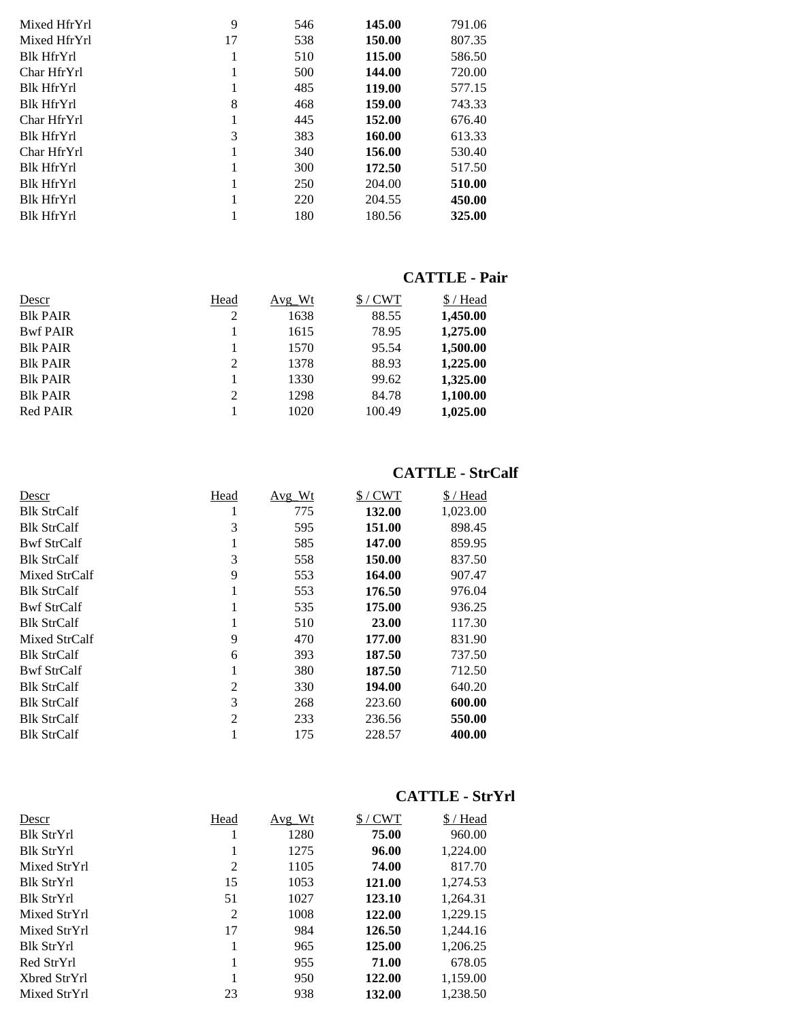| Mixed HfrYrl      | 9  | 546 | 145.00 | 791.06 |
|-------------------|----|-----|--------|--------|
| Mixed HfrYrl      | 17 | 538 | 150.00 | 807.35 |
| <b>Blk HfrYrl</b> | 1  | 510 | 115.00 | 586.50 |
| Char HfrYrl       | 1  | 500 | 144.00 | 720.00 |
| <b>Blk HfrYrl</b> | 1  | 485 | 119.00 | 577.15 |
| <b>Blk HfrYrl</b> | 8  | 468 | 159.00 | 743.33 |
| Char HfrYrl       | 1  | 445 | 152.00 | 676.40 |
| <b>Blk HfrYrl</b> | 3  | 383 | 160.00 | 613.33 |
| Char HfrYrl       | 1  | 340 | 156.00 | 530.40 |
| <b>Blk HfrYrl</b> | 1  | 300 | 172.50 | 517.50 |
| <b>Blk HfrYrl</b> | 1  | 250 | 204.00 | 510.00 |
| <b>Blk HfrYrl</b> | 1  | 220 | 204.55 | 450.00 |
| <b>Blk HfrYrl</b> |    | 180 | 180.56 | 325.00 |
|                   |    |     |        |        |

#### **CATTLE - Pair**

| Descr            | Head | Avg Wt | /CWT   | \$/Head  |
|------------------|------|--------|--------|----------|
| <b>Blk PAIR</b>  | 2    | 1638   | 88.55  | 1,450.00 |
| <b>Bwf PAIR</b>  |      | 1615   | 78.95  | 1,275.00 |
| <b>B</b> lk PAIR |      | 1570   | 95.54  | 1,500.00 |
| <b>Blk PAIR</b>  | 2    | 1378   | 88.93  | 1,225.00 |
| <b>Blk PAIR</b>  |      | 1330   | 99.62  | 1,325.00 |
| <b>Blk PAIR</b>  | 2    | 1298   | 84.78  | 1,100.00 |
| <b>Red PAIR</b>  |      | 1020   | 100.49 | 1,025.00 |

### **CATTLE - StrCalf**

| Descr              | Head           | Avg_Wt | $$/$ CWT | \$/Head  |
|--------------------|----------------|--------|----------|----------|
| <b>Blk StrCalf</b> |                | 775    | 132.00   | 1,023.00 |
| <b>Blk StrCalf</b> | 3              | 595    | 151.00   | 898.45   |
| <b>Bwf StrCalf</b> |                | 585    | 147.00   | 859.95   |
| <b>Blk StrCalf</b> | 3              | 558    | 150.00   | 837.50   |
| Mixed StrCalf      | 9              | 553    | 164.00   | 907.47   |
| <b>Blk StrCalf</b> |                | 553    | 176.50   | 976.04   |
| <b>Bwf StrCalf</b> |                | 535    | 175.00   | 936.25   |
| <b>Blk StrCalf</b> |                | 510    | 23.00    | 117.30   |
| Mixed StrCalf      | 9              | 470    | 177.00   | 831.90   |
| <b>Blk StrCalf</b> | 6              | 393    | 187.50   | 737.50   |
| <b>Bwf StrCalf</b> |                | 380    | 187.50   | 712.50   |
| <b>Blk StrCalf</b> | 2              | 330    | 194.00   | 640.20   |
| <b>Blk StrCalf</b> | 3              | 268    | 223.60   | 600.00   |
| <b>Blk StrCalf</b> | $\mathfrak{D}$ | 233    | 236.56   | 550.00   |
| <b>Blk StrCalf</b> |                | 175    | 228.57   | 400.00   |

# **CATTLE - StrYrl**

| <u>Descr</u>      | Head | Avg Wt | $$/$ CWT | \$/Head  |
|-------------------|------|--------|----------|----------|
| <b>Blk StrYrl</b> |      | 1280   | 75.00    | 960.00   |
| <b>Blk StrYrl</b> |      | 1275   | 96.00    | 1,224.00 |
| Mixed StrYrl      | 2    | 1105   | 74.00    | 817.70   |
| <b>Blk StrYrl</b> | 15   | 1053   | 121.00   | 1,274.53 |
| <b>Blk StrYrl</b> | 51   | 1027   | 123.10   | 1,264.31 |
| Mixed StrYrl      | 2    | 1008   | 122.00   | 1,229.15 |
| Mixed StrYrl      | 17   | 984    | 126.50   | 1,244.16 |
| <b>Blk StrYrl</b> |      | 965    | 125.00   | 1,206.25 |
| Red StrYrl        |      | 955    | 71.00    | 678.05   |
| Xbred StrYrl      |      | 950    | 122.00   | 1,159.00 |
| Mixed StrYrl      | 23   | 938    | 132.00   | 1.238.50 |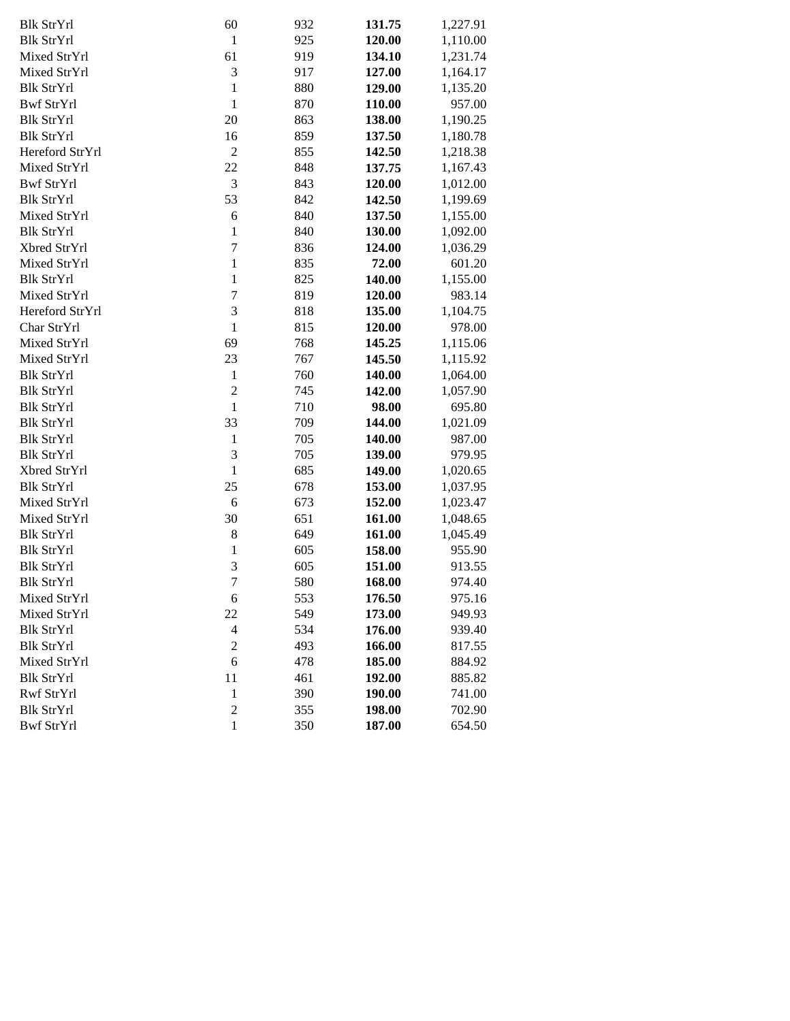| <b>Blk StrYrl</b> | 60             | 932 | 131.75 | 1,227.91 |
|-------------------|----------------|-----|--------|----------|
| <b>Blk StrYrl</b> | 1              | 925 | 120.00 | 1,110.00 |
| Mixed StrYrl      | 61             | 919 | 134.10 | 1,231.74 |
| Mixed StrYrl      | 3              | 917 | 127.00 | 1,164.17 |
| <b>Blk StrYrl</b> | $\mathbf{1}$   | 880 | 129.00 | 1,135.20 |
| <b>Bwf StrYrl</b> | 1              | 870 | 110.00 | 957.00   |
| <b>Blk StrYrl</b> | 20             | 863 | 138.00 | 1,190.25 |
| <b>Blk StrYrl</b> | 16             | 859 | 137.50 | 1,180.78 |
| Hereford StrYrl   | $\overline{2}$ | 855 | 142.50 | 1,218.38 |
| Mixed StrYrl      | 22             | 848 | 137.75 | 1,167.43 |
| <b>Bwf StrYrl</b> | $\mathfrak{Z}$ | 843 | 120.00 | 1,012.00 |
| <b>Blk StrYrl</b> | 53             | 842 | 142.50 | 1,199.69 |
| Mixed StrYrl      | 6              | 840 | 137.50 | 1,155.00 |
| <b>Blk StrYrl</b> | 1              | 840 | 130.00 | 1,092.00 |
| Xbred StrYrl      | $\overline{7}$ | 836 | 124.00 | 1,036.29 |
| Mixed StrYrl      | $\mathbf{1}$   | 835 | 72.00  | 601.20   |
| <b>Blk StrYrl</b> | $\mathbf{1}$   | 825 | 140.00 | 1,155.00 |
| Mixed StrYrl      | $\overline{7}$ | 819 | 120.00 | 983.14   |
| Hereford StrYrl   | 3              | 818 | 135.00 | 1,104.75 |
| Char StrYrl       | 1              | 815 | 120.00 | 978.00   |
| Mixed StrYrl      | 69             | 768 | 145.25 | 1,115.06 |
| Mixed StrYrl      | 23             | 767 | 145.50 | 1,115.92 |
| <b>Blk StrYrl</b> | $\mathbf{1}$   | 760 | 140.00 | 1,064.00 |
| <b>Blk StrYrl</b> | $\overline{c}$ | 745 | 142.00 | 1,057.90 |
| <b>Blk StrYrl</b> | 1              | 710 | 98.00  | 695.80   |
| <b>Blk StrYrl</b> | 33             | 709 | 144.00 | 1,021.09 |
| <b>Blk StrYrl</b> | $\mathbf{1}$   | 705 | 140.00 | 987.00   |
| <b>Blk StrYrl</b> | 3              | 705 | 139.00 | 979.95   |
| Xbred StrYrl      | 1              | 685 | 149.00 | 1,020.65 |
| <b>Blk StrYrl</b> | 25             | 678 | 153.00 | 1,037.95 |
| Mixed StrYrl      | 6              | 673 | 152.00 | 1,023.47 |
| Mixed StrYrl      | 30             | 651 | 161.00 | 1,048.65 |
| <b>Blk StrYrl</b> | $\,8\,$        | 649 | 161.00 | 1,045.49 |
| <b>Blk StrYrl</b> | $\mathbf{1}$   | 605 | 158.00 | 955.90   |
| <b>Blk StrYrl</b> | 3              | 605 | 151.00 | 913.55   |
| <b>Blk StrYrl</b> | $\overline{7}$ | 580 | 168.00 | 974.40   |
| Mixed StrYrl      | 6              | 553 | 176.50 | 975.16   |
| Mixed StrYrl      | 22             | 549 | 173.00 | 949.93   |
| <b>Blk StrYrl</b> | $\overline{4}$ | 534 | 176.00 | 939.40   |
| <b>Blk StrYrl</b> | $\overline{c}$ | 493 | 166.00 | 817.55   |
| Mixed StrYrl      | 6              | 478 | 185.00 | 884.92   |
| <b>Blk StrYrl</b> | 11             | 461 | 192.00 | 885.82   |
| Rwf StrYrl        | $\mathbf{1}$   | 390 | 190.00 | 741.00   |
| <b>Blk StrYrl</b> | $\overline{c}$ | 355 | 198.00 | 702.90   |
| <b>Bwf StrYrl</b> | $\mathbf{1}$   | 350 | 187.00 | 654.50   |
|                   |                |     |        |          |